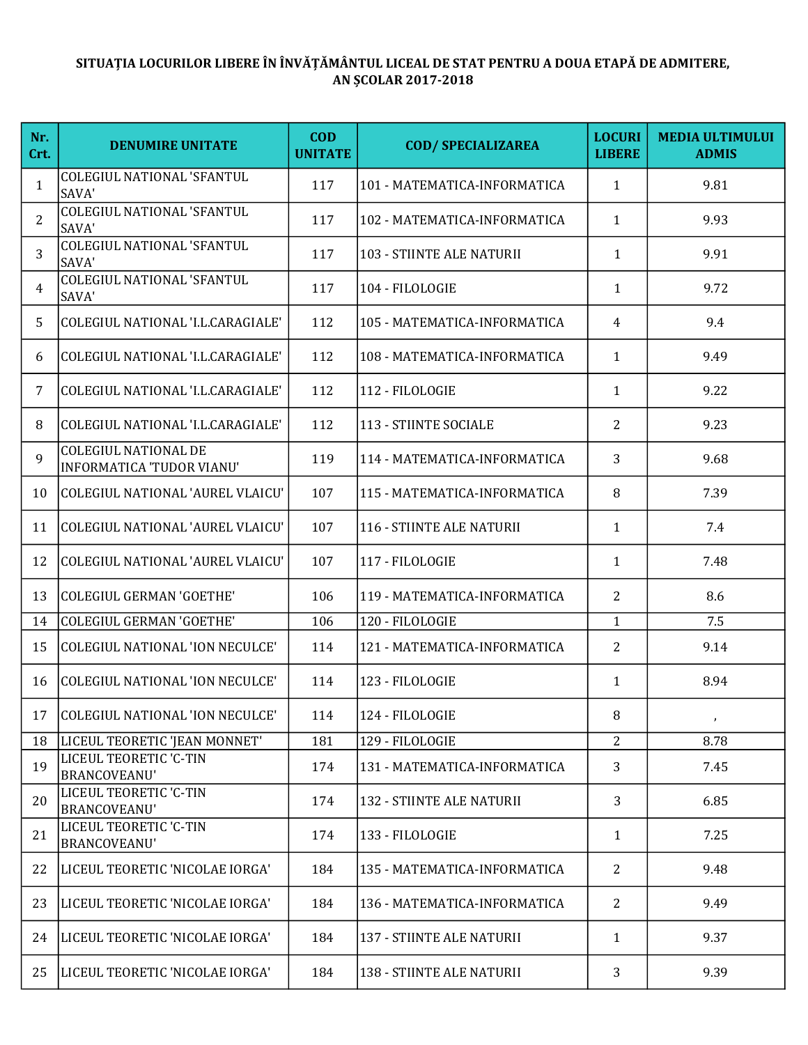## SITUAȚIA LOCURILOR LIBERE ÎN ÎNVĂȚĂMÂNTUL LICEAL DE STAT PENTRU A DOUA ETAPĂ DE ADMITERE, AN ȘCOLAR 2017-2018

| Nr.<br>Crt.    | <b>DENUMIRE UNITATE</b>                                         | <b>COD</b><br><b>UNITATE</b> | <b>COD/ SPECIALIZAREA</b>    | <b>LOCURI</b><br><b>LIBERE</b> | <b>MEDIA ULTIMULUI</b><br><b>ADMIS</b> |
|----------------|-----------------------------------------------------------------|------------------------------|------------------------------|--------------------------------|----------------------------------------|
| $\mathbf{1}$   | <b>COLEGIUL NATIONAL 'SFANTUL</b><br>SAVA'                      | 117                          | 101 - MATEMATICA-INFORMATICA | $\mathbf{1}$                   | 9.81                                   |
| 2              | <b>COLEGIUL NATIONAL 'SFANTUL</b><br>SAVA'                      | 117                          | 102 - MATEMATICA-INFORMATICA | $\mathbf{1}$                   | 9.93                                   |
| 3              | <b>COLEGIUL NATIONAL 'SFANTUL</b><br>SAVA'                      | 117                          | 103 - STIINTE ALE NATURII    | $\mathbf{1}$                   | 9.91                                   |
| 4              | COLEGIUL NATIONAL 'SFANTUL<br>SAVA'                             | 117                          | 104 - FILOLOGIE              | $\mathbf{1}$                   | 9.72                                   |
| 5.             | COLEGIUL NATIONAL 'I.L.CARAGIALE'                               | 112                          | 105 - MATEMATICA-INFORMATICA | 4                              | 9.4                                    |
| 6              | COLEGIUL NATIONAL 'I.L.CARAGIALE'                               | 112                          | 108 - MATEMATICA-INFORMATICA | $\mathbf{1}$                   | 9.49                                   |
| $\overline{7}$ | COLEGIUL NATIONAL 'I.L.CARAGIALE'                               | 112                          | 112 - FILOLOGIE              | $\mathbf{1}$                   | 9.22                                   |
| 8              | COLEGIUL NATIONAL 'I.L.CARAGIALE'                               | 112                          | 113 - STIINTE SOCIALE        | 2                              | 9.23                                   |
| 9              | <b>COLEGIUL NATIONAL DE</b><br><b>INFORMATICA 'TUDOR VIANU'</b> | 119                          | 114 - MATEMATICA-INFORMATICA | 3                              | 9.68                                   |
| 10             | COLEGIUL NATIONAL 'AUREL VLAICU'                                | 107                          | 115 - MATEMATICA-INFORMATICA | 8                              | 7.39                                   |
| 11             | <b>COLEGIUL NATIONAL 'AUREL VLAICU'</b>                         | 107                          | 116 - STIINTE ALE NATURII    | $\mathbf{1}$                   | 7.4                                    |
| 12             | COLEGIUL NATIONAL 'AUREL VLAICU'                                | 107                          | 117 - FILOLOGIE              | $\mathbf{1}$                   | 7.48                                   |
| 13             | <b>COLEGIUL GERMAN 'GOETHE'</b>                                 | 106                          | 119 - MATEMATICA-INFORMATICA | $\overline{2}$                 | 8.6                                    |
| 14             | <b>COLEGIUL GERMAN 'GOETHE'</b>                                 | 106                          | 120 - FILOLOGIE              | $\mathbf{1}$                   | 7.5                                    |
| 15             | <b>COLEGIUL NATIONAL 'ION NECULCE'</b>                          | 114                          | 121 - MATEMATICA-INFORMATICA | 2                              | 9.14                                   |
| 16             | COLEGIUL NATIONAL 'ION NECULCE'                                 | 114                          | 123 - FILOLOGIE              | $\mathbf{1}$                   | 8.94                                   |
| 17             | COLEGIUL NATIONAL 'ION NECULCE'                                 | 114                          | 124 - FILOLOGIE              | 8                              | $\mathbf{J}$                           |
| 18             | LICEUL TEORETIC 'JEAN MONNET'                                   | 181                          | 129 - FILOLOGIE              | $\overline{2}$                 | 8.78                                   |
| 19             | LICEUL TEORETIC 'C-TIN<br>BRANCOVEANU'                          | 174                          | 131 - MATEMATICA-INFORMATICA | 3                              | 7.45                                   |
| 20             | LICEUL TEORETIC 'C-TIN<br><b>BRANCOVEANU'</b>                   | 174                          | 132 - STIINTE ALE NATURII    | 3                              | 6.85                                   |
| 21             | LICEUL TEORETIC 'C-TIN<br><b>BRANCOVEANU'</b>                   | 174                          | 133 - FILOLOGIE              | $\mathbf{1}$                   | 7.25                                   |
| 22             | LICEUL TEORETIC 'NICOLAE IORGA'                                 | 184                          | 135 - MATEMATICA-INFORMATICA | 2                              | 9.48                                   |
| 23             | LICEUL TEORETIC 'NICOLAE IORGA'                                 | 184                          | 136 - MATEMATICA-INFORMATICA | 2                              | 9.49                                   |
| 24             | LICEUL TEORETIC 'NICOLAE IORGA'                                 | 184                          | 137 - STIINTE ALE NATURII    | $\mathbf{1}$                   | 9.37                                   |
| 25             | LICEUL TEORETIC 'NICOLAE IORGA'                                 | 184                          | 138 - STIINTE ALE NATURII    | 3                              | 9.39                                   |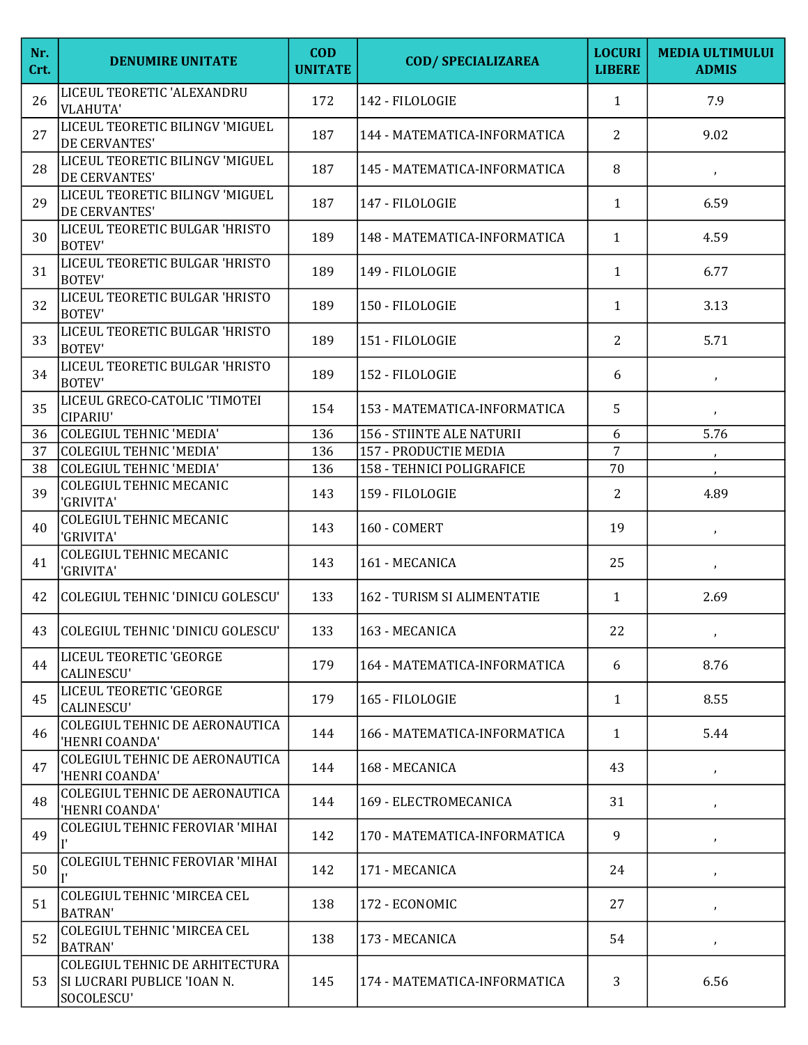| Nr.<br>Crt. | <b>DENUMIRE UNITATE</b>                                                     | <b>COD</b><br><b>UNITATE</b> | <b>COD/ SPECIALIZAREA</b>    | <b>LOCURI</b><br><b>LIBERE</b> | <b>MEDIA ULTIMULUI</b><br><b>ADMIS</b> |
|-------------|-----------------------------------------------------------------------------|------------------------------|------------------------------|--------------------------------|----------------------------------------|
| 26          | LICEUL TEORETIC 'ALEXANDRU<br><b>VLAHUTA'</b>                               | 172                          | 142 - FILOLOGIE              | $\mathbf{1}$                   | 7.9                                    |
| 27          | LICEUL TEORETIC BILINGV 'MIGUEL<br>DE CERVANTES'                            | 187                          | 144 - MATEMATICA-INFORMATICA | 2                              | 9.02                                   |
| 28          | LICEUL TEORETIC BILINGV 'MIGUEL<br>DE CERVANTES'                            | 187                          | 145 - MATEMATICA-INFORMATICA | 8                              | $\pmb{\cdot}$                          |
| 29          | LICEUL TEORETIC BILINGV 'MIGUEL<br>DE CERVANTES'                            | 187                          | 147 - FILOLOGIE              | $\mathbf{1}$                   | 6.59                                   |
| 30          | LICEUL TEORETIC BULGAR 'HRISTO<br><b>BOTEV'</b>                             | 189                          | 148 - MATEMATICA-INFORMATICA | $\mathbf{1}$                   | 4.59                                   |
| 31          | LICEUL TEORETIC BULGAR 'HRISTO<br><b>BOTEV'</b>                             | 189                          | 149 - FILOLOGIE              | $\mathbf{1}$                   | 6.77                                   |
| 32          | LICEUL TEORETIC BULGAR 'HRISTO<br><b>BOTEV'</b>                             | 189                          | 150 - FILOLOGIE              | $\mathbf{1}$                   | 3.13                                   |
| 33          | LICEUL TEORETIC BULGAR 'HRISTO<br><b>BOTEV'</b>                             | 189                          | 151 - FILOLOGIE              | $\overline{2}$                 | 5.71                                   |
| 34          | LICEUL TEORETIC BULGAR 'HRISTO<br><b>BOTEV'</b>                             | 189                          | 152 - FILOLOGIE              | 6                              | $\pmb{\cdot}$                          |
| 35          | LICEUL GRECO-CATOLIC 'TIMOTEI<br>CIPARIU'                                   | 154                          | 153 - MATEMATICA-INFORMATICA | 5                              | $\pmb{\cdot}$                          |
| 36          | <b>COLEGIUL TEHNIC 'MEDIA'</b>                                              | 136                          | 156 - STIINTE ALE NATURII    | 6                              | 5.76                                   |
| 37          | <b>COLEGIUL TEHNIC 'MEDIA'</b>                                              | 136                          | 157 - PRODUCTIE MEDIA        | $\overline{7}$                 |                                        |
| 38          | COLEGIUL TEHNIC 'MEDIA'                                                     | 136                          | 158 - TEHNICI POLIGRAFICE    | 70                             |                                        |
| 39          | <b>COLEGIUL TEHNIC MECANIC</b><br>'GRIVITA'                                 | 143                          | 159 - FILOLOGIE              | 2                              | 4.89                                   |
| 40          | <b>COLEGIUL TEHNIC MECANIC</b><br>'GRIVITA'                                 | 143                          | 160 - COMERT                 | 19                             | $\pmb{\cdot}$                          |
| 41          | <b>COLEGIUL TEHNIC MECANIC</b><br>'GRIVITA'                                 | 143                          | 161 - MECANICA               | 25                             | $\pmb{\cdot}$                          |
| 42          | COLEGIUL TEHNIC 'DINICU GOLESCU'                                            | 133                          | 162 - TURISM SI ALIMENTATIE  | $\mathbf{1}$                   | 2.69                                   |
| 43          | COLEGIUL TEHNIC 'DINICU GOLESCU'                                            | 133                          | 163 - MECANICA               | 22                             | $\pmb{\cdot}$                          |
| 44          | LICEUL TEORETIC 'GEORGE<br><b>CALINESCU'</b>                                | 179                          | 164 - MATEMATICA-INFORMATICA | 6                              | 8.76                                   |
| 45          | LICEUL TEORETIC 'GEORGE<br>CALINESCU'                                       | 179                          | 165 - FILOLOGIE              | $\mathbf{1}$                   | 8.55                                   |
| 46          | COLEGIUL TEHNIC DE AERONAUTICA<br>'HENRI COANDA'                            | 144                          | 166 - MATEMATICA-INFORMATICA | $\mathbf{1}$                   | 5.44                                   |
| 47          | COLEGIUL TEHNIC DE AERONAUTICA<br>'HENRI COANDA'                            | 144                          | 168 - MECANICA               | 43                             | $\pmb{\cdot}$                          |
| 48          | COLEGIUL TEHNIC DE AERONAUTICA<br>'HENRI COANDA'                            | 144                          | 169 - ELECTROMECANICA        | 31                             | $\pmb{\cdot}$                          |
| 49          | <b>COLEGIUL TEHNIC FEROVIAR 'MIHAI</b>                                      | 142                          | 170 - MATEMATICA-INFORMATICA | 9                              | $\pmb{\cdot}$                          |
| 50          | COLEGIUL TEHNIC FEROVIAR 'MIHAI                                             | 142                          | 171 - MECANICA               | 24                             | $\mathcal{F}$                          |
| 51          | <b>COLEGIUL TEHNIC 'MIRCEA CEL</b><br><b>BATRAN'</b>                        | 138                          | 172 - ECONOMIC               | 27                             | $\mathcal{F}$                          |
| 52          | <b>COLEGIUL TEHNIC 'MIRCEA CEL</b><br><b>BATRAN'</b>                        | 138                          | 173 - MECANICA               | 54                             | $\pmb{\cdot}$                          |
| 53          | COLEGIUL TEHNIC DE ARHITECTURA<br>SI LUCRARI PUBLICE 'IOAN N.<br>SOCOLESCU' | 145                          | 174 - MATEMATICA-INFORMATICA | 3                              | 6.56                                   |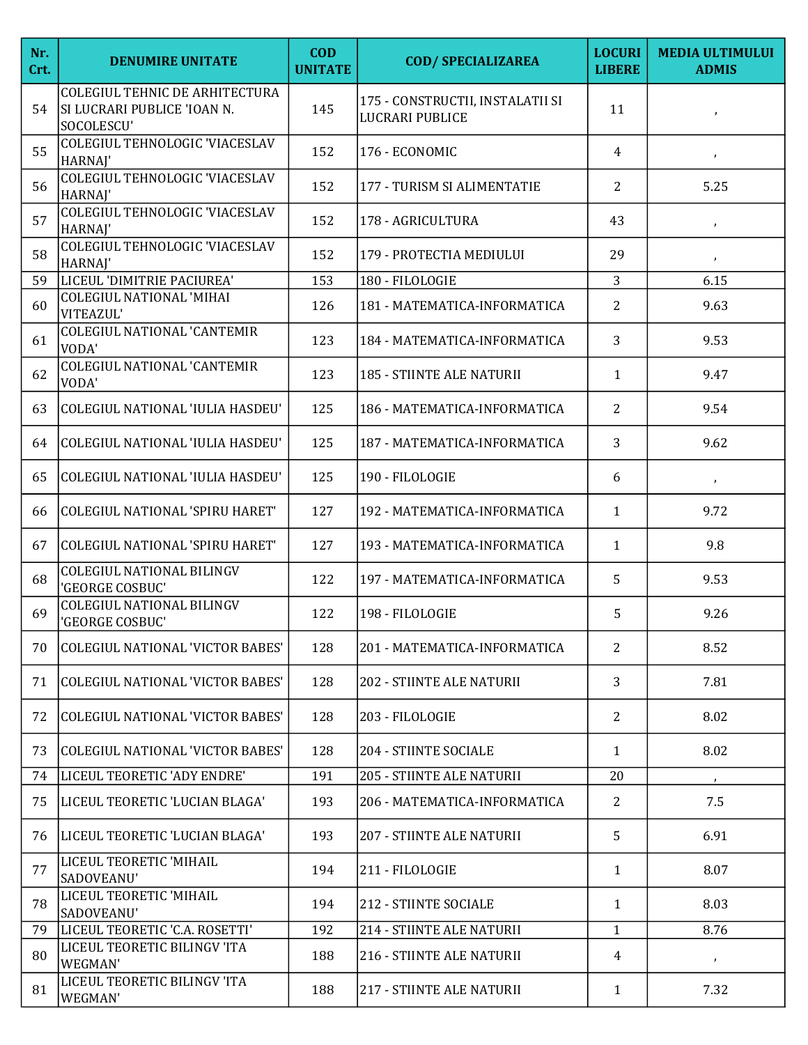| Nr.<br>Crt. | <b>DENUMIRE UNITATE</b>                                                     | <b>COD</b><br><b>UNITATE</b> | <b>COD/ SPECIALIZAREA</b>                                  | <b>LOCURI</b><br><b>LIBERE</b> | <b>MEDIA ULTIMULUI</b><br><b>ADMIS</b> |
|-------------|-----------------------------------------------------------------------------|------------------------------|------------------------------------------------------------|--------------------------------|----------------------------------------|
| 54          | COLEGIUL TEHNIC DE ARHITECTURA<br>SI LUCRARI PUBLICE 'IOAN N.<br>SOCOLESCU' | 145                          | 175 - CONSTRUCTII, INSTALATII SI<br><b>LUCRARI PUBLICE</b> | 11                             | $\mathbf{r}$                           |
| 55          | COLEGIUL TEHNOLOGIC 'VIACESLAV<br>HARNAJ'                                   | 152                          | 176 - ECONOMIC                                             | 4                              | $\mathcal{F}$                          |
| 56          | COLEGIUL TEHNOLOGIC 'VIACESLAV<br>HARNAJ'                                   | 152                          | 177 - TURISM SI ALIMENTATIE                                | 2                              | 5.25                                   |
| 57          | COLEGIUL TEHNOLOGIC 'VIACESLAV<br>HARNAJ'                                   | 152                          | 178 - AGRICULTURA                                          | 43                             | $\pmb{\cdot}$                          |
| 58          | COLEGIUL TEHNOLOGIC 'VIACESLAV<br>HARNAJ'                                   | 152                          | 179 - PROTECTIA MEDIULUI                                   | 29                             | $\pmb{\cdot}$                          |
| 59          | LICEUL 'DIMITRIE PACIUREA'                                                  | 153                          | 180 - FILOLOGIE                                            | $\overline{3}$                 | 6.15                                   |
| 60          | <b>COLEGIUL NATIONAL 'MIHAI</b><br>VITEAZUL'                                | 126                          | 181 - MATEMATICA-INFORMATICA                               | $\overline{2}$                 | 9.63                                   |
| 61          | <b>COLEGIUL NATIONAL 'CANTEMIR</b><br>VODA'                                 | 123                          | 184 - MATEMATICA-INFORMATICA                               | 3                              | 9.53                                   |
| 62          | <b>COLEGIUL NATIONAL 'CANTEMIR</b><br>VODA'                                 | 123                          | 185 - STIINTE ALE NATURII                                  | $\mathbf{1}$                   | 9.47                                   |
| 63          | COLEGIUL NATIONAL 'IULIA HASDEU'                                            | 125                          | 186 - MATEMATICA-INFORMATICA                               | 2                              | 9.54                                   |
| 64          | COLEGIUL NATIONAL 'IULIA HASDEU'                                            | 125                          | 187 - MATEMATICA-INFORMATICA                               | 3                              | 9.62                                   |
| 65          | COLEGIUL NATIONAL 'IULIA HASDEU'                                            | 125                          | 190 - FILOLOGIE                                            | 6                              | $\pmb{\cdot}$                          |
| 66          | COLEGIUL NATIONAL 'SPIRU HARET'                                             | 127                          | 192 - MATEMATICA-INFORMATICA                               | $\mathbf{1}$                   | 9.72                                   |
| 67          | <b>COLEGIUL NATIONAL 'SPIRU HARET'</b>                                      | 127                          | 193 - MATEMATICA-INFORMATICA                               | $\mathbf{1}$                   | 9.8                                    |
| 68          | <b>COLEGIUL NATIONAL BILINGV</b><br>'GEORGE COSBUC'                         | 122                          | 197 - MATEMATICA-INFORMATICA                               | 5                              | 9.53                                   |
| 69          | <b>COLEGIUL NATIONAL BILINGV</b><br>'GEORGE COSBUC'                         | 122                          | 198 - FILOLOGIE                                            | 5                              | 9.26                                   |
| 70          | <b>COLEGIUL NATIONAL 'VICTOR BABES'</b>                                     | 128                          | 201 - MATEMATICA-INFORMATICA                               | 2                              | 8.52                                   |
| 71          | <b>COLEGIUL NATIONAL 'VICTOR BABES'</b>                                     | 128                          | 202 - STIINTE ALE NATURII                                  | 3                              | 7.81                                   |
| 72          | <b>COLEGIUL NATIONAL 'VICTOR BABES'</b>                                     | 128                          | 203 - FILOLOGIE                                            | $\overline{2}$                 | 8.02                                   |
| 73          | <b>COLEGIUL NATIONAL 'VICTOR BABES'</b>                                     | 128                          | 204 - STIINTE SOCIALE                                      | $\mathbf{1}$                   | 8.02                                   |
| 74          | LICEUL TEORETIC 'ADY ENDRE'                                                 | 191                          | <b>205 - STIINTE ALE NATURII</b>                           | 20                             |                                        |
| 75          | LICEUL TEORETIC 'LUCIAN BLAGA'                                              | 193                          | 206 - MATEMATICA-INFORMATICA                               | 2                              | 7.5                                    |
| 76          | LICEUL TEORETIC 'LUCIAN BLAGA'                                              | 193                          | <b>207 - STIINTE ALE NATURII</b>                           | 5                              | 6.91                                   |
| 77          | LICEUL TEORETIC 'MIHAIL<br>SADOVEANU'                                       | 194                          | 211 - FILOLOGIE                                            | $\mathbf{1}$                   | 8.07                                   |
| 78          | LICEUL TEORETIC 'MIHAIL<br>SADOVEANU'                                       | 194                          | 212 - STIINTE SOCIALE                                      | 1                              | 8.03                                   |
| 79          | LICEUL TEORETIC 'C.A. ROSETTI'                                              | 192                          | 214 - STIINTE ALE NATURII                                  | $\mathbf{1}$                   | 8.76                                   |
| 80          | LICEUL TEORETIC BILINGV 'ITA<br>WEGMAN'                                     | 188                          | 216 - STIINTE ALE NATURII                                  | 4                              | $\pmb{\cdot}$                          |
| 81          | LICEUL TEORETIC BILINGV 'ITA<br>WEGMAN'                                     | 188                          | 217 - STIINTE ALE NATURII                                  | $\mathbf{1}$                   | 7.32                                   |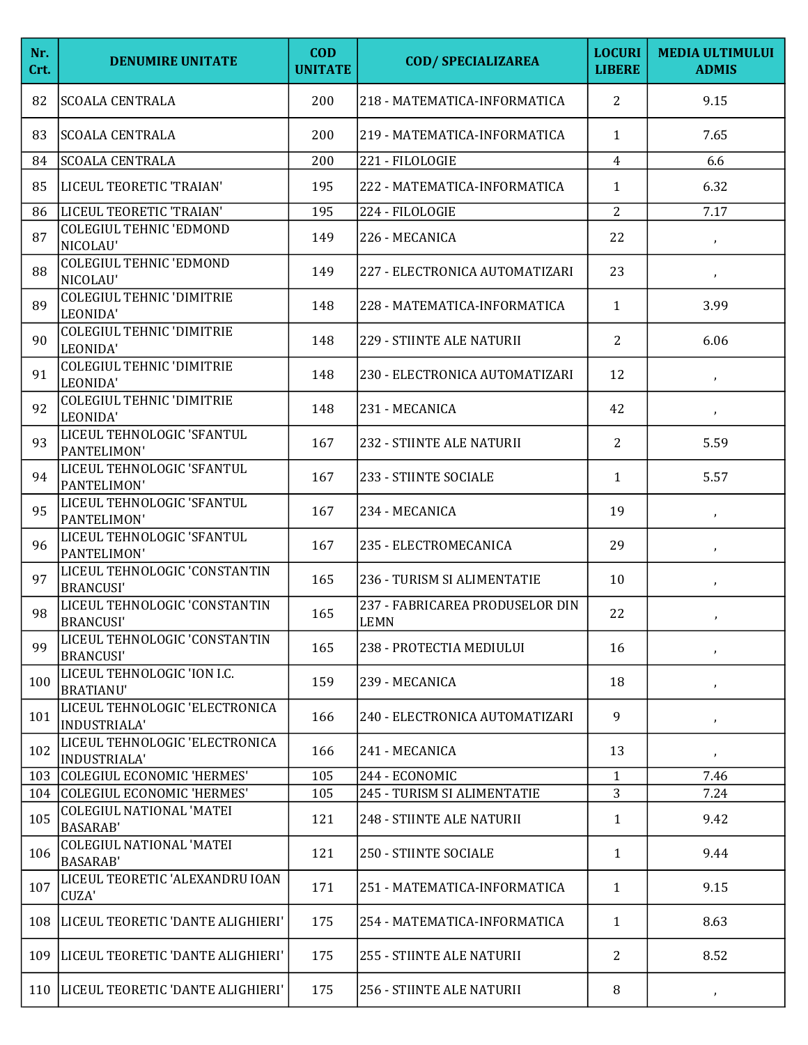| Nr.<br>Crt. | <b>DENUMIRE UNITATE</b>                                           | <b>COD</b><br><b>UNITATE</b> | <b>COD/ SPECIALIZAREA</b>               | <b>LOCURI</b><br><b>LIBERE</b> | <b>MEDIA ULTIMULUI</b><br><b>ADMIS</b> |
|-------------|-------------------------------------------------------------------|------------------------------|-----------------------------------------|--------------------------------|----------------------------------------|
| 82          | <b>SCOALA CENTRALA</b>                                            | 200                          | 218 - MATEMATICA-INFORMATICA            | 2                              | 9.15                                   |
| 83          | <b>SCOALA CENTRALA</b>                                            | 200                          | 219 - MATEMATICA-INFORMATICA            | $\mathbf{1}$                   | 7.65                                   |
| 84          | <b>SCOALA CENTRALA</b>                                            | 200                          | 221 - FILOLOGIE                         | $\overline{4}$                 | 6.6                                    |
| 85          | LICEUL TEORETIC 'TRAIAN'                                          | 195                          | 222 - MATEMATICA-INFORMATICA            | 1                              | 6.32                                   |
| 86          | LICEUL TEORETIC 'TRAIAN'                                          | 195                          | 224 - FILOLOGIE                         | $\overline{2}$                 | 7.17                                   |
| 87          | <b>COLEGIUL TEHNIC 'EDMOND</b><br>NICOLAU'                        | 149                          | 226 - MECANICA                          | 22                             | $\pmb{\cdot}$                          |
| 88          | <b>COLEGIUL TEHNIC 'EDMOND</b><br>NICOLAU'                        | 149                          | 227 - ELECTRONICA AUTOMATIZARI          | 23                             | $\pmb{\cdot}$                          |
| 89          | <b>COLEGIUL TEHNIC 'DIMITRIE</b><br>LEONIDA'                      | 148                          | 228 - MATEMATICA-INFORMATICA            | $\mathbf{1}$                   | 3.99                                   |
| 90          | <b>COLEGIUL TEHNIC 'DIMITRIE</b><br>LEONIDA'                      | 148                          | 229 - STIINTE ALE NATURII               | 2                              | 6.06                                   |
| 91          | <b>COLEGIUL TEHNIC 'DIMITRIE</b><br>LEONIDA'                      | 148                          | 230 - ELECTRONICA AUTOMATIZARI          | 12                             | $\pmb{\cdot}$                          |
| 92          | <b>COLEGIUL TEHNIC 'DIMITRIE</b><br>LEONIDA'                      | 148                          | 231 - MECANICA                          | 42                             | $\mathcal{F}$                          |
| 93          | LICEUL TEHNOLOGIC 'SFANTUL<br>PANTELIMON'                         | 167                          | 232 - STIINTE ALE NATURII               | 2                              | 5.59                                   |
| 94          | LICEUL TEHNOLOGIC 'SFANTUL<br>PANTELIMON'                         | 167                          | 233 - STIINTE SOCIALE                   | $\mathbf{1}$                   | 5.57                                   |
| 95          | LICEUL TEHNOLOGIC 'SFANTUL<br>PANTELIMON'                         | 167                          | 234 - MECANICA                          | 19                             | $\mathcal{F}$                          |
| 96          | LICEUL TEHNOLOGIC 'SFANTUL<br>PANTELIMON'                         | 167                          | 235 - ELECTROMECANICA                   | 29                             | $\pmb{\cdot}$                          |
| 97          | LICEUL TEHNOLOGIC 'CONSTANTIN<br><b>BRANCUSI'</b>                 | 165                          | 236 - TURISM SI ALIMENTATIE             | 10                             | $\pmb{\cdot}$                          |
| 98          | LICEUL TEHNOLOGIC 'CONSTANTIN<br><b>BRANCUSI'</b>                 | 165                          | 237 - FABRICAREA PRODUSELOR DIN<br>LEMN | 22                             | ,                                      |
| 99          | LICEUL TEHNOLOGIC 'CONSTANTIN<br><b>BRANCUSI'</b>                 | 165                          | 238 - PROTECTIA MEDIULUI                | 16                             | $\pmb{\cdot}$                          |
| 100         | LICEUL TEHNOLOGIC 'ION I.C.<br><b>BRATIANU'</b>                   | 159                          | 239 - MECANICA                          | 18                             | $\pmb{\cdot}$                          |
| 101         | LICEUL TEHNOLOGIC 'ELECTRONICA<br><b>INDUSTRIALA'</b>             | 166                          | 240 - ELECTRONICA AUTOMATIZARI          | 9                              | $\mathbf{J}$                           |
| 102         | LICEUL TEHNOLOGIC 'ELECTRONICA<br>INDUSTRIALA'                    | 166                          | 241 - MECANICA                          | 13                             | $\pmb{\cdot}$                          |
| 103         | COLEGIUL ECONOMIC 'HERMES'                                        | 105                          | 244 - ECONOMIC                          | $\mathbf{1}$                   | 7.46                                   |
|             | 104 COLEGIUL ECONOMIC 'HERMES'<br><b>COLEGIUL NATIONAL 'MATEI</b> | 105                          | 245 - TURISM SI ALIMENTATIE             | 3                              | 7.24                                   |
| 105         | <b>BASARAB</b>                                                    | 121                          | 248 - STIINTE ALE NATURII               | 1                              | 9.42                                   |
| 106         | <b>COLEGIUL NATIONAL 'MATEI</b><br><b>BASARAB</b>                 | 121                          | 250 - STIINTE SOCIALE                   | $\mathbf{1}$                   | 9.44                                   |
| 107         | LICEUL TEORETIC 'ALEXANDRU IOAN<br>CUZA'                          | 171                          | 251 - MATEMATICA-INFORMATICA            | $\mathbf{1}$                   | 9.15                                   |
|             | 108  LICEUL TEORETIC 'DANTE ALIGHIERI'                            | 175                          | 254 - MATEMATICA-INFORMATICA            | $\mathbf{1}$                   | 8.63                                   |
|             | 109   LICEUL TEORETIC 'DANTE ALIGHIERI'                           | 175                          | 255 - STIINTE ALE NATURII               | 2                              | 8.52                                   |
|             | 110   LICEUL TEORETIC 'DANTE ALIGHIERI'                           | 175                          | 256 - STIINTE ALE NATURII               | 8                              | $\boldsymbol{J}$                       |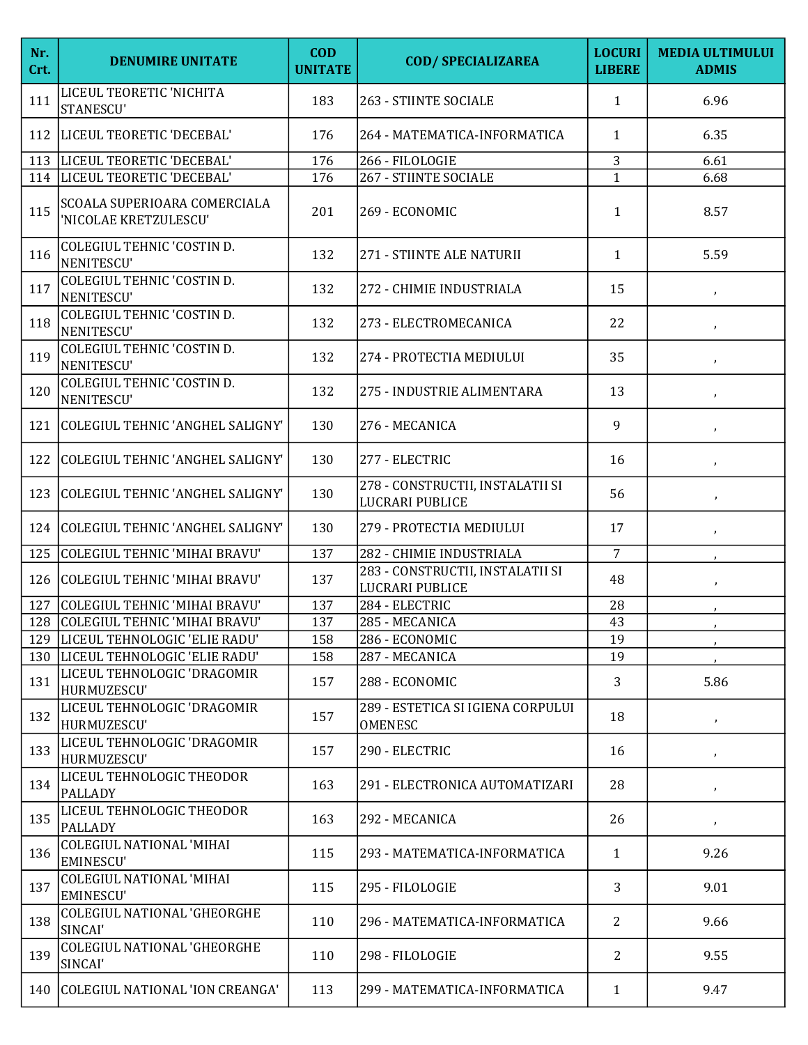| Nr.<br>Crt. | <b>DENUMIRE UNITATE</b>                               | <b>COD</b><br><b>UNITATE</b> | <b>COD/ SPECIALIZAREA</b>                           | <b>LOCURI</b><br><b>LIBERE</b> | <b>MEDIA ULTIMULUI</b><br><b>ADMIS</b> |
|-------------|-------------------------------------------------------|------------------------------|-----------------------------------------------------|--------------------------------|----------------------------------------|
| 111         | LICEUL TEORETIC 'NICHITA<br>STANESCU'                 | 183                          | 263 - STIINTE SOCIALE                               | $\mathbf{1}$                   | 6.96                                   |
| 112         | LICEUL TEORETIC 'DECEBAL'                             | 176                          | 264 - MATEMATICA-INFORMATICA                        | $\mathbf{1}$                   | 6.35                                   |
| 113         | LICEUL TEORETIC 'DECEBAL'                             | 176                          | 266 - FILOLOGIE                                     | 3                              | 6.61                                   |
| 114         | LICEUL TEORETIC 'DECEBAL'                             | 176                          | 267 - STIINTE SOCIALE                               | $\mathbf{1}$                   | 6.68                                   |
| 115         | SCOALA SUPERIOARA COMERCIALA<br>'NICOLAE KRETZULESCU' | 201                          | 269 - ECONOMIC                                      | $\mathbf{1}$                   | 8.57                                   |
| 116         | COLEGIUL TEHNIC 'COSTIN D.<br>NENITESCU'              | 132                          | 271 - STIINTE ALE NATURII                           | 1                              | 5.59                                   |
| 117         | COLEGIUL TEHNIC 'COSTIN D.<br>NENITESCU'              | 132                          | 272 - CHIMIE INDUSTRIALA                            | 15                             | $\pmb{\cdot}$                          |
| 118         | COLEGIUL TEHNIC 'COSTIN D.<br>NENITESCU'              | 132                          | 273 - ELECTROMECANICA                               | 22                             | $\pmb{\cdot}$                          |
| 119         | COLEGIUL TEHNIC 'COSTIN D.<br>NENITESCU'              | 132                          | 274 - PROTECTIA MEDIULUI                            | 35                             | $\pmb{\cdot}$                          |
| 120         | <b>COLEGIUL TEHNIC 'COSTIN D.</b><br>NENITESCU'       | 132                          | 275 - INDUSTRIE ALIMENTARA                          | 13                             | $\lambda$                              |
| 121         | COLEGIUL TEHNIC 'ANGHEL SALIGNY'                      | 130                          | 276 - MECANICA                                      | 9                              | $\lambda$                              |
| 122         | COLEGIUL TEHNIC 'ANGHEL SALIGNY'                      | 130                          | 277 - ELECTRIC                                      | 16                             | $\lambda$                              |
| 123         | COLEGIUL TEHNIC 'ANGHEL SALIGNY'                      | 130                          | 278 - CONSTRUCTII, INSTALATII SI<br>LUCRARI PUBLICE | 56                             | $\pmb{\cdot}$                          |
| 124         | COLEGIUL TEHNIC 'ANGHEL SALIGNY'                      | 130                          | 279 - PROTECTIA MEDIULUI                            | 17                             | $\lambda$                              |
| 125         | COLEGIUL TEHNIC 'MIHAI BRAVU'                         | 137                          | 282 - CHIMIE INDUSTRIALA                            | $\overline{7}$                 |                                        |
| 126         | COLEGIUL TEHNIC 'MIHAI BRAVU'                         | 137                          | 283 - CONSTRUCTII, INSTALATII SI<br>LUCRARI PUBLICE | 48                             | $\pmb{\cdot}$                          |
| 127         | COLEGIUL TEHNIC 'MIHAI BRAVU'                         | 137                          | 284 - ELECTRIC                                      | 28                             |                                        |
|             | 128 COLEGIUL TEHNIC 'MIHAI BRAVU'                     | 137                          | 285 - MECANICA                                      | 43                             |                                        |
| 129         | LICEUL TEHNOLOGIC 'ELIE RADU'                         | 158                          | 286 - ECONOMIC                                      | 19                             |                                        |
|             | 130  LICEUL TEHNOLOGIC 'ELIE RADU'                    | 158                          | 287 - MECANICA                                      | 19                             |                                        |
| 131         | LICEUL TEHNOLOGIC 'DRAGOMIR<br>HURMUZESCU'            | 157                          | 288 - ECONOMIC                                      | 3                              | 5.86                                   |
| 132         | LICEUL TEHNOLOGIC 'DRAGOMIR<br>HURMUZESCU'            | 157                          | 289 - ESTETICA SI IGIENA CORPULUI<br><b>OMENESC</b> | 18                             | $\pmb{\cdot}$                          |
| 133         | LICEUL TEHNOLOGIC 'DRAGOMIR<br>HURMUZESCU'            | 157                          | 290 - ELECTRIC                                      | 16                             | $\pmb{\cdot}$                          |
| 134         | LICEUL TEHNOLOGIC THEODOR<br><b>PALLADY</b>           | 163                          | 291 - ELECTRONICA AUTOMATIZARI                      | 28                             | $\mathcal I$                           |
| 135         | LICEUL TEHNOLOGIC THEODOR<br><b>PALLADY</b>           | 163                          | 292 - MECANICA                                      | 26                             | $\pmb{\cdot}$                          |
| 136         | <b>COLEGIUL NATIONAL 'MIHAI</b><br><b>EMINESCU'</b>   | 115                          | 293 - MATEMATICA-INFORMATICA                        | $\mathbf{1}$                   | 9.26                                   |
| 137         | <b>COLEGIUL NATIONAL 'MIHAI</b><br><b>EMINESCU'</b>   | 115                          | 295 - FILOLOGIE                                     | 3                              | 9.01                                   |
| 138         | <b>COLEGIUL NATIONAL 'GHEORGHE</b><br>SINCAI'         | 110                          | 296 - MATEMATICA-INFORMATICA                        | 2                              | 9.66                                   |
| 139         | <b>COLEGIUL NATIONAL 'GHEORGHE</b><br>SINCAI'         | 110                          | 298 - FILOLOGIE                                     | 2                              | 9.55                                   |
| 140         | COLEGIUL NATIONAL 'ION CREANGA'                       | 113                          | 299 - MATEMATICA-INFORMATICA                        | $\mathbf{1}$                   | 9.47                                   |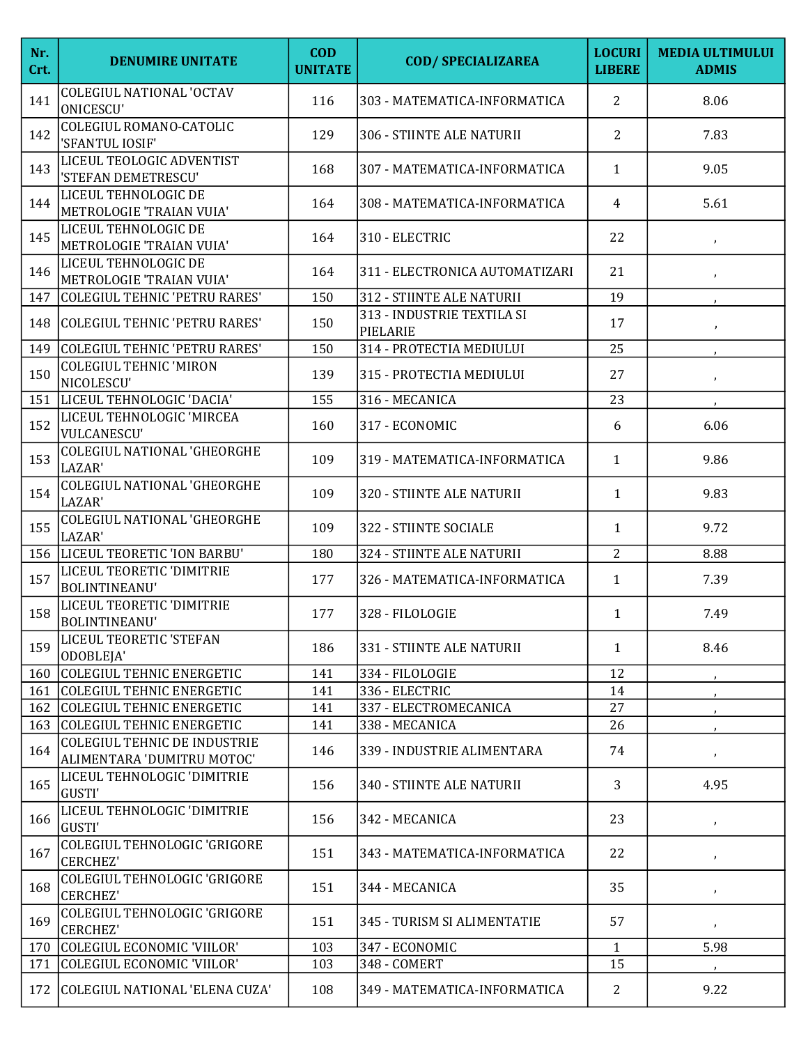| Nr.<br>Crt. | <b>DENUMIRE UNITATE</b>                                           | <b>COD</b><br><b>UNITATE</b> | <b>COD/ SPECIALIZAREA</b>              | <b>LOCURI</b><br><b>LIBERE</b> | <b>MEDIA ULTIMULUI</b><br><b>ADMIS</b> |
|-------------|-------------------------------------------------------------------|------------------------------|----------------------------------------|--------------------------------|----------------------------------------|
| 141         | <b>COLEGIUL NATIONAL 'OCTAV</b><br><b>ONICESCU'</b>               | 116                          | 303 - MATEMATICA-INFORMATICA           | $\overline{2}$                 | 8.06                                   |
| 142         | <b>COLEGIUL ROMANO-CATOLIC</b><br>'SFANTUL IOSIF'                 | 129                          | 306 - STIINTE ALE NATURII              | $\overline{2}$                 | 7.83                                   |
| 143         | LICEUL TEOLOGIC ADVENTIST<br>'STEFAN DEMETRESCU'                  | 168                          | 307 - MATEMATICA-INFORMATICA           | $\mathbf{1}$                   | 9.05                                   |
| 144         | LICEUL TEHNOLOGIC DE<br>METROLOGIE 'TRAIAN VUIA'                  | 164                          | 308 - MATEMATICA-INFORMATICA           | $\overline{4}$                 | 5.61                                   |
| 145         | LICEUL TEHNOLOGIC DE<br>METROLOGIE 'TRAIAN VUIA'                  | 164                          | 310 - ELECTRIC                         | 22                             | $\pmb{\cdot}$                          |
| 146         | LICEUL TEHNOLOGIC DE<br>METROLOGIE 'TRAIAN VUIA'                  | 164                          | 311 - ELECTRONICA AUTOMATIZARI         | 21                             | $\pmb{\cdot}$                          |
| 147         | COLEGIUL TEHNIC 'PETRU RARES'                                     | 150                          | 312 - STIINTE ALE NATURII              | 19                             |                                        |
|             | 148 COLEGIUL TEHNIC 'PETRU RARES'                                 | 150                          | 313 - INDUSTRIE TEXTILA SI<br>PIELARIE | 17                             | $\mathbf{r}$                           |
| 149         | COLEGIUL TEHNIC 'PETRU RARES'                                     | 150                          | 314 - PROTECTIA MEDIULUI               | 25                             |                                        |
| 150         | <b>COLEGIUL TEHNIC 'MIRON</b><br>NICOLESCU'                       | 139                          | 315 - PROTECTIA MEDIULUI               | 27                             | $\pmb{\cdot}$                          |
| 151         | LICEUL TEHNOLOGIC 'DACIA'                                         | 155                          | 316 - MECANICA                         | 23                             |                                        |
| 152         | LICEUL TEHNOLOGIC 'MIRCEA<br><b>VULCANESCU'</b>                   | 160                          | 317 - ECONOMIC                         | 6                              | 6.06                                   |
| 153         | COLEGIUL NATIONAL 'GHEORGHE<br>LAZAR'                             | 109                          | 319 - MATEMATICA-INFORMATICA           | $\mathbf{1}$                   | 9.86                                   |
| 154         | <b>COLEGIUL NATIONAL 'GHEORGHE</b><br>LAZAR'                      | 109                          | 320 - STIINTE ALE NATURII              | $\mathbf{1}$                   | 9.83                                   |
| 155         | COLEGIUL NATIONAL 'GHEORGHE<br>LAZAR'                             | 109                          | 322 - STIINTE SOCIALE                  | $\mathbf{1}$                   | 9.72                                   |
|             | 156  LICEUL TEORETIC 'ION BARBU'                                  | 180                          | 324 - STIINTE ALE NATURII              | $\overline{2}$                 | 8.88                                   |
| 157         | LICEUL TEORETIC 'DIMITRIE<br><b>BOLINTINEANU'</b>                 | 177                          | 326 - MATEMATICA-INFORMATICA           | $\mathbf{1}$                   | 7.39                                   |
| 158         | LICEUL TEORETIC 'DIMITRIE<br><b>BOLINTINEANU</b>                  | 177                          | 328 - FILOLOGIE                        | $\mathbf{1}$                   | 7.49                                   |
| 159         | LICEUL TEORETIC 'STEFAN<br>ODOBLEJA'                              | 186                          | 331 - STIINTE ALE NATURII              | $\mathbf{1}$                   | 8.46                                   |
| 160         | COLEGIUL TEHNIC ENERGETIC                                         | 141                          | 334 - FILOLOGIE                        | 12                             |                                        |
|             | 161 COLEGIUL TEHNIC ENERGETIC                                     | 141                          | 336 - ELECTRIC                         | 14                             |                                        |
|             | 162 COLEGIUL TEHNIC ENERGETIC                                     | 141                          | 337 - ELECTROMECANICA                  | 27                             |                                        |
|             | 163 COLEGIUL TEHNIC ENERGETIC                                     | 141                          | 338 - MECANICA                         | 26                             |                                        |
| 164         | <b>COLEGIUL TEHNIC DE INDUSTRIE</b><br>ALIMENTARA 'DUMITRU MOTOC' | 146                          | 339 - INDUSTRIE ALIMENTARA             | 74                             | $\pmb{\cdot}$                          |
| 165         | LICEUL TEHNOLOGIC 'DIMITRIE<br>GUSTI'                             | 156                          | 340 - STIINTE ALE NATURII              | 3                              | 4.95                                   |
| 166         | LICEUL TEHNOLOGIC 'DIMITRIE<br><b>GUSTI'</b>                      | 156                          | 342 - MECANICA                         | 23                             | $\pmb{\cdot}$                          |
| 167         | COLEGIUL TEHNOLOGIC 'GRIGORE<br><b>CERCHEZ'</b>                   | 151                          | 343 - MATEMATICA-INFORMATICA           | 22                             | $\pmb{\cdot}$                          |
| 168         | COLEGIUL TEHNOLOGIC 'GRIGORE<br><b>CERCHEZ'</b>                   | 151                          | 344 - MECANICA                         | 35                             | $\pmb{\cdot}$                          |
| 169         | COLEGIUL TEHNOLOGIC 'GRIGORE<br><b>CERCHEZ'</b>                   | 151                          | 345 - TURISM SI ALIMENTATIE            | 57                             | $\boldsymbol{r}$                       |
|             | 170 COLEGIUL ECONOMIC 'VIILOR'                                    | 103                          | 347 - ECONOMIC                         | $\mathbf{1}$                   | 5.98                                   |
| 171         | COLEGIUL ECONOMIC 'VIILOR'                                        | 103                          | 348 - COMERT                           | 15                             |                                        |
|             | 172 COLEGIUL NATIONAL 'ELENA CUZA'                                | 108                          | 349 - MATEMATICA-INFORMATICA           | $\mathbf{2}$                   | 9.22                                   |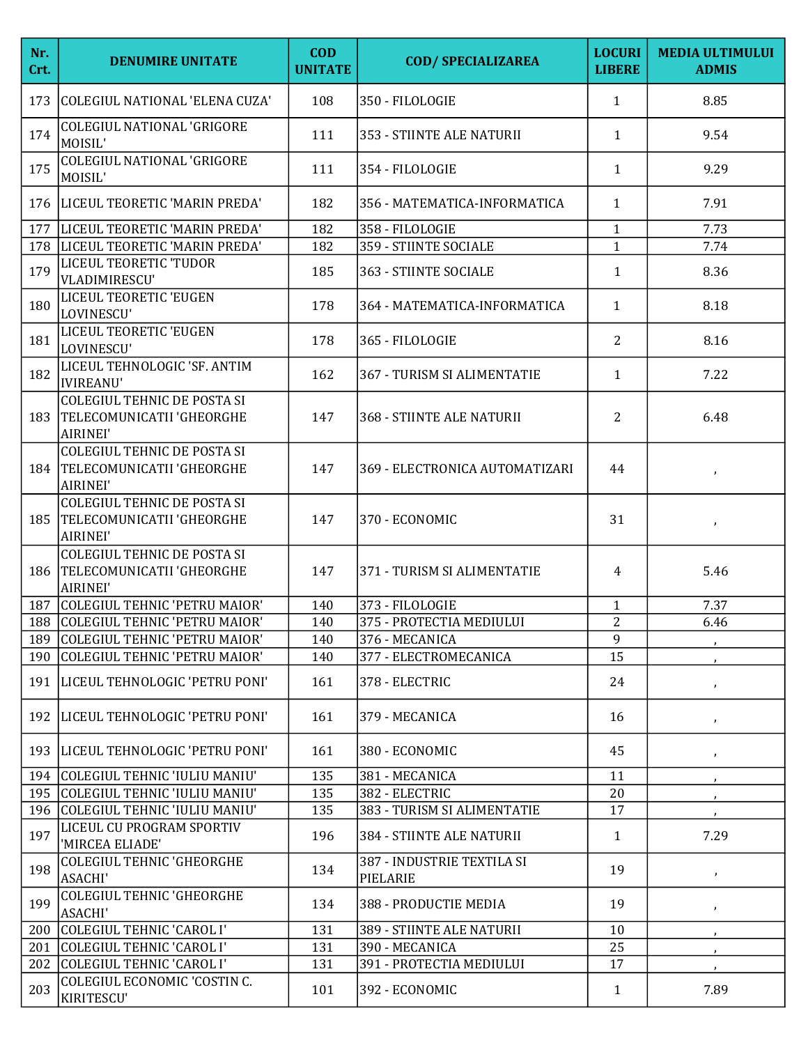| Nr.<br>Crt. | <b>DENUMIRE UNITATE</b>                                                           | <b>COD</b><br><b>UNITATE</b> | <b>COD/ SPECIALIZAREA</b>              | <b>LOCURI</b><br><b>LIBERE</b> | <b>MEDIA ULTIMULUI</b><br><b>ADMIS</b> |
|-------------|-----------------------------------------------------------------------------------|------------------------------|----------------------------------------|--------------------------------|----------------------------------------|
| 173         | COLEGIUL NATIONAL 'ELENA CUZA'                                                    | 108                          | 350 - FILOLOGIE                        | $\mathbf{1}$                   | 8.85                                   |
| 174         | <b>COLEGIUL NATIONAL 'GRIGORE</b><br>MOISIL'                                      | 111                          | 353 - STIINTE ALE NATURII              | $\mathbf{1}$                   | 9.54                                   |
| 175         | <b>COLEGIUL NATIONAL 'GRIGORE</b><br>MOISIL'                                      | 111                          | 354 - FILOLOGIE                        | $\mathbf{1}$                   | 9.29                                   |
|             | 176   LICEUL TEORETIC 'MARIN PREDA'                                               | 182                          | 356 - MATEMATICA-INFORMATICA           | $\mathbf{1}$                   | 7.91                                   |
| 177         | LICEUL TEORETIC 'MARIN PREDA'                                                     | 182                          | 358 - FILOLOGIE                        | $\mathbf{1}$                   | 7.73                                   |
| 178         | LICEUL TEORETIC 'MARIN PREDA'                                                     | 182                          | 359 - STIINTE SOCIALE                  | $\mathbf{1}$                   | 7.74                                   |
| 179         | LICEUL TEORETIC 'TUDOR<br>VLADIMIRESCU'                                           | 185                          | 363 - STIINTE SOCIALE                  | $\mathbf{1}$                   | 8.36                                   |
| 180         | LICEUL TEORETIC 'EUGEN<br>LOVINESCU'                                              | 178                          | 364 - MATEMATICA-INFORMATICA           | $\mathbf{1}$                   | 8.18                                   |
| 181         | LICEUL TEORETIC 'EUGEN<br>LOVINESCU'                                              | 178                          | 365 - FILOLOGIE                        | 2                              | 8.16                                   |
| 182         | LICEUL TEHNOLOGIC 'SF. ANTIM<br><b>IVIREANU'</b>                                  | 162                          | 367 - TURISM SI ALIMENTATIE            | 1                              | 7.22                                   |
|             | <b>COLEGIUL TEHNIC DE POSTA SI</b><br>183   TELECOMUNICATII 'GHEORGHE<br>AIRINEI' | 147                          | <b>368 - STIINTE ALE NATURII</b>       | 2                              | 6.48                                   |
|             | <b>COLEGIUL TEHNIC DE POSTA SI</b><br>184   TELECOMUNICATII 'GHEORGHE<br>AIRINEI' | 147                          | 369 - ELECTRONICA AUTOMATIZARI         | 44                             | $\lambda$                              |
| 185         | <b>COLEGIUL TEHNIC DE POSTA SI</b><br>TELECOMUNICATII 'GHEORGHE<br>AIRINEI'       | 147                          | 370 - ECONOMIC                         | 31                             | $\pmb{\cdot}$                          |
|             | <b>COLEGIUL TEHNIC DE POSTA SI</b><br>186 TELECOMUNICATII 'GHEORGHE<br>AIRINEI'   | 147                          | 371 - TURISM SI ALIMENTATIE            | $\overline{4}$                 | 5.46                                   |
|             | 187 COLEGIUL TEHNIC 'PETRU MAIOR'                                                 | 140                          | 373 - FILOLOGIE                        | $\mathbf{1}$                   | 7.37                                   |
|             | 188 COLEGIUL TEHNIC 'PETRU MAIOR'                                                 | 140                          | 375 - PROTECTIA MEDIULUI               | $\overline{2}$                 | 6.46                                   |
|             | 189 COLEGIUL TEHNIC 'PETRU MAIOR'                                                 | 140                          | 376 - MECANICA                         | 9                              |                                        |
| 190         | COLEGIUL TEHNIC 'PETRU MAIOR'                                                     | 140                          | 377 - ELECTROMECANICA                  | 15                             |                                        |
|             | 191   LICEUL TEHNOLOGIC 'PETRU PONI'                                              | 161                          | 378 - ELECTRIC                         | 24                             | $\pmb{\cdot}$                          |
|             | 192  LICEUL TEHNOLOGIC 'PETRU PONI'                                               | 161                          | 379 - MECANICA                         | 16                             | $\pmb{\jmath}$                         |
|             | 193   LICEUL TEHNOLOGIC 'PETRU PONI'                                              | 161                          | 380 - ECONOMIC                         | 45                             | $\lambda$                              |
|             | 194 COLEGIUL TEHNIC 'IULIU MANIU'                                                 | 135                          | 381 - MECANICA                         | 11                             |                                        |
|             | 195 COLEGIUL TEHNIC 'IULIU MANIU'                                                 | 135                          | 382 - ELECTRIC                         | 20                             |                                        |
|             | 196 COLEGIUL TEHNIC 'IULIU MANIU'                                                 | 135                          | 383 - TURISM SI ALIMENTATIE            | 17                             |                                        |
| 197         | LICEUL CU PROGRAM SPORTIV<br>'MIRCEA ELIADE'                                      | 196                          | 384 - STIINTE ALE NATURII              | $\mathbf{1}$                   | 7.29                                   |
| 198         | <b>COLEGIUL TEHNIC 'GHEORGHE</b><br><b>ASACHI'</b>                                | 134                          | 387 - INDUSTRIE TEXTILA SI<br>PIELARIE | 19                             | $\mathcal{F}$                          |
| 199         | <b>COLEGIUL TEHNIC 'GHEORGHE</b><br><b>ASACHI'</b>                                | 134                          | 388 - PRODUCTIE MEDIA                  | 19                             | $\pmb{\cdot}$                          |
|             | 200 COLEGIUL TEHNIC 'CAROL I'                                                     | 131                          | 389 - STIINTE ALE NATURII              | 10                             |                                        |
|             | 201 COLEGIUL TEHNIC 'CAROL I'                                                     | 131                          | 390 - MECANICA                         | 25                             |                                        |
| 202         | COLEGIUL TEHNIC 'CAROL I'                                                         | 131                          | 391 - PROTECTIA MEDIULUI               | 17                             | $\mathcal{F}$                          |
| 203         | COLEGIUL ECONOMIC 'COSTIN C.<br>KIRITESCU'                                        | 101                          | 392 - ECONOMIC                         | $\mathbf{1}$                   | 7.89                                   |